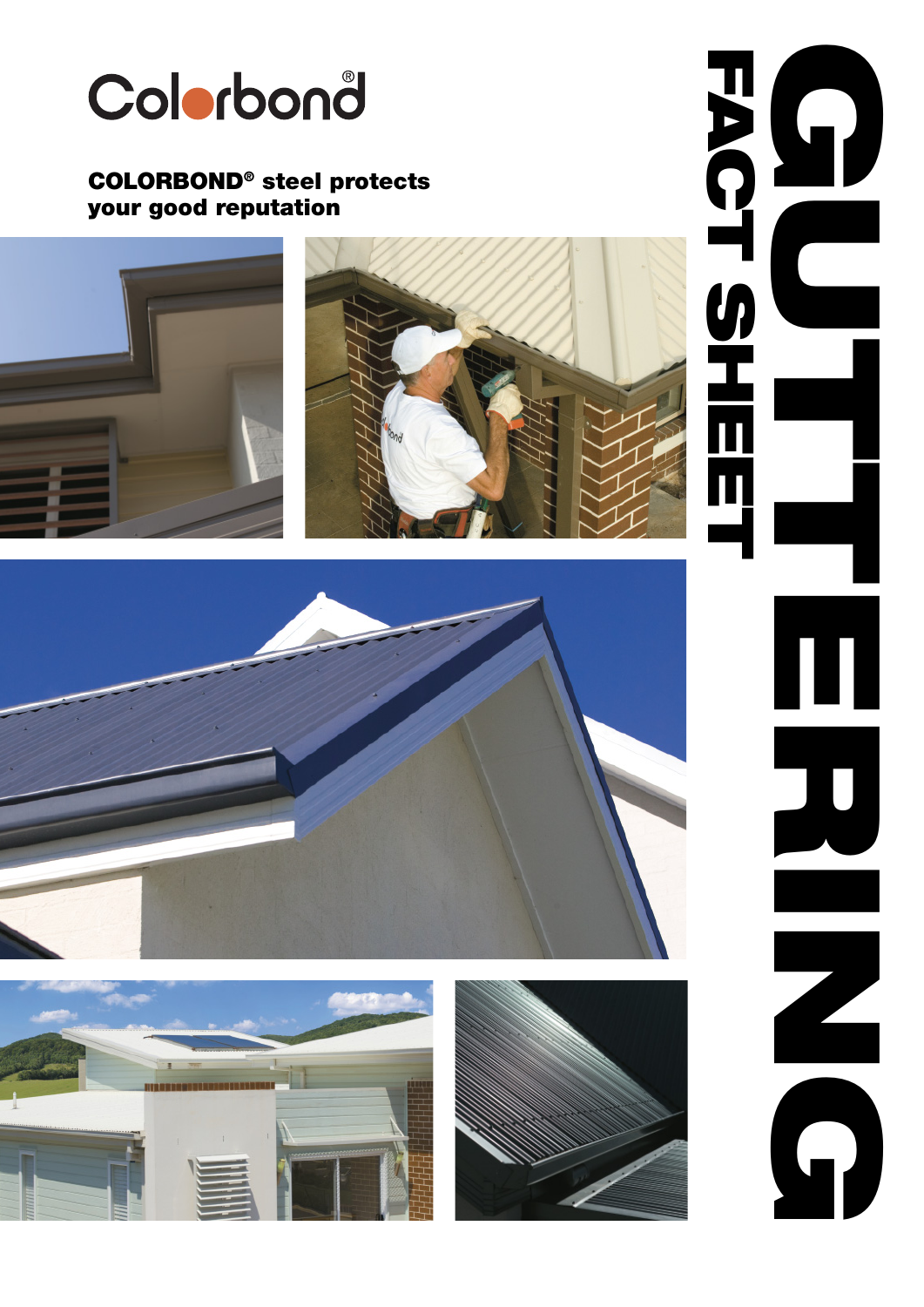

## COLORBOND ® steel protects your good reputation